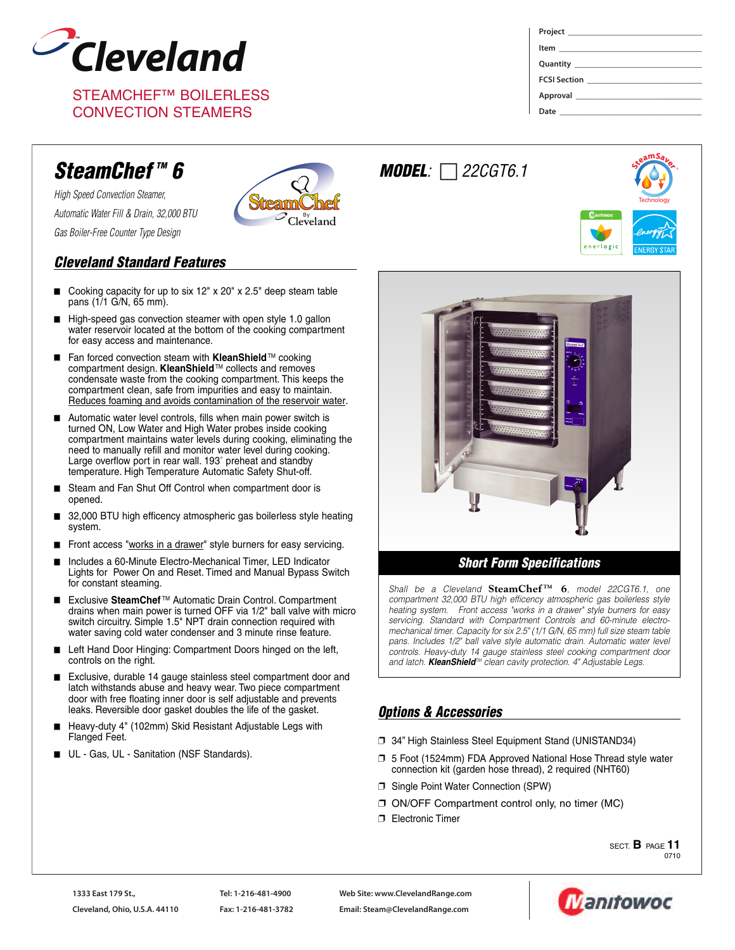

STEAMCHEF™ BOILERLESS CONVECTION STEAMERS

| FCSI Section <u>________________________________</u> |  |
|------------------------------------------------------|--|
|                                                      |  |
|                                                      |  |

**Technology** 

**S<sup>t</sup>eamSave<sup>r</sup>**

nerlogi

# *SteamChef TM 6*

*High Speed Convection Steamer, Automatic Water Fill & Drain, 32,000 BTU Gas Boiler-Free Counter Type Design*



# *Cleveland Standard Features*

- Cooking capacity for up to six  $12"$  x  $20"$  x  $2.5"$  deep steam table pans (1/1 G/N, 65 mm).
- High-speed gas convection steamer with open style 1.0 gallon water reservoir located at the bottom of the cooking compartment for easy access and maintenance.
- Fan forced convection steam with **KleanShield**<sup>™</sup> cooking compartment design. **KleanShield**TM collects and removes condensate waste from the cooking compartment. This keeps the compartment clean, safe from impurities and easy to maintain. Reduces foaming and avoids contamination of the reservoir water.
- Automatic water level controls, fills when main power switch is turned ON, Low Water and High Water probes inside cooking compartment maintains water levels during cooking, eliminating the need to manually refill and monitor water level during cooking. Large overflow port in rear wall. 193˚ preheat and standby temperature. High Temperature Automatic Safety Shut-off.
- Steam and Fan Shut Off Control when compartment door is opened.
- 32,000 BTU high efficency atmospheric gas boilerless style heating system.
- Front access "works in a drawer" style burners for easy servicing.
- Includes a 60-Minute Electro-Mechanical Timer, LED Indicator Lights for Power On and Reset. Timed and Manual Bypass Switch for constant steaming.
- Exclusive SteamChef<sup>™</sup> Automatic Drain Control. Compartment drains when main power is turned OFF via 1/2" ball valve with micro switch circuitry. Simple 1.5" NPT drain connection required with water saving cold water condenser and 3 minute rinse feature.
- Left Hand Door Hinging: Compartment Doors hinged on the left, controls on the right.
- Exclusive, durable 14 gauge stainless steel compartment door and latch withstands abuse and heavy wear. Two piece compartment door with free floating inner door is self adjustable and prevents leaks. Reversible door gasket doubles the life of the gasket.
- Heavy-duty 4" (102mm) Skid Resistant Adjustable Legs with Flanged Feet.
- UL Gas, UL Sanitation (NSF Standards).



*Shall be a Cleveland* **SteamChef TM 6***, model 22CGT6.1, one compartment 32,000 BTU high efficency atmospheric gas boilerless style heating system. Front access "works in a drawer" style burners for easy servicing. Standard with Compartment Controls and 60-minute electromechanical timer. Capacity for six 2.5" (1/1 G/N, 65 mm) full size steam table pans. Includes 1/2" ball valve style automatic drain. Automatic water level controls. Heavy-duty 14 gauge stainless steel cooking compartment door and latch. KleanShieldTM clean cavity protection. 4" Adjustable Legs.*

# *Options & Accessories*

*MODEL: 22CGT6.1*

- ❐ 34" High Stainless Steel Equipment Stand (UNISTAND34)
- ❐ 5 Foot (1524mm) FDA Approved National Hose Thread style water connection kit (garden hose thread), 2 required (NHT60)
- ❐ Single Point Water Connection (SPW)
- ❐ ON/OFF Compartment control only, no timer (MC)
- ❐ Electronic Timer

SECT. **B** PAGE **11** 0710

**Web Site: www.ClevelandRange.com Email: Steam@ClevelandRange.com**